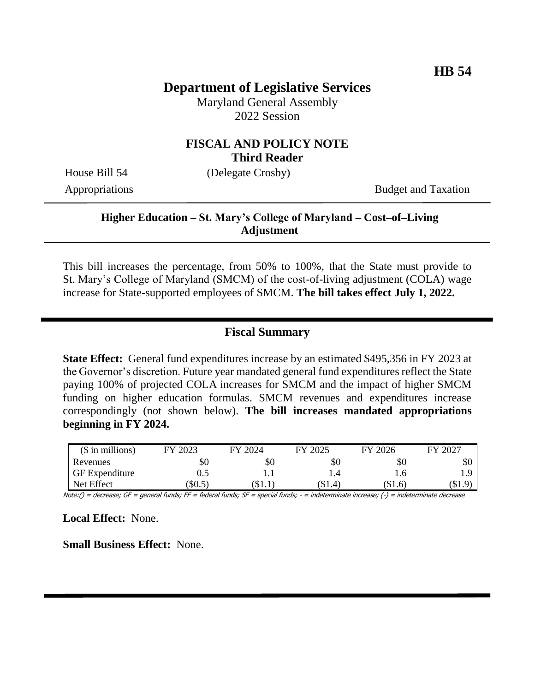# **Department of Legislative Services**

Maryland General Assembly 2022 Session

### **FISCAL AND POLICY NOTE Third Reader**

House Bill 54 (Delegate Crosby)

Appropriations Budget and Taxation

## **Higher Education – St. Mary's College of Maryland – Cost–of–Living Adjustment**

This bill increases the percentage, from 50% to 100%, that the State must provide to St. Mary's College of Maryland (SMCM) of the cost-of-living adjustment (COLA) wage increase for State-supported employees of SMCM. **The bill takes effect July 1, 2022.**

### **Fiscal Summary**

**State Effect:** General fund expenditures increase by an estimated \$495,356 in FY 2023 at the Governor's discretion. Future year mandated general fund expenditures reflect the State paying 100% of projected COLA increases for SMCM and the impact of higher SMCM funding on higher education formulas. SMCM revenues and expenditures increase correspondingly (not shown below). **The bill increases mandated appropriations beginning in FY 2024.**

| $($$ in millions)     | 2023 | FY 2024   | $\frac{1}{2}$ 2025<br>EV | FY 2026 | $202^-$<br>FY |
|-----------------------|------|-----------|--------------------------|---------|---------------|
| Revenues              | ЭU   | \$0       | Y0                       | ъU      | \$0           |
| <b>GF</b> Expenditure | ∪.⊾  |           | 1.4                      | 1.U     |               |
| Net Effect            | SU.5 | . D. 1. 1 | [SI.4]                   | (\$1.6) | Q<br>(S1.9    |

Note:() = decrease; GF = general funds; FF = federal funds; SF = special funds; - = indeterminate increase; (-) = indeterminate decrease

**Local Effect:** None.

**Small Business Effect:** None.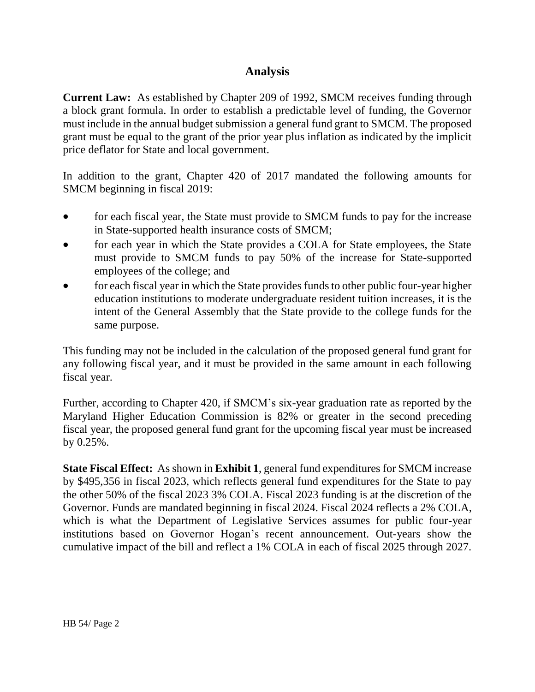## **Analysis**

**Current Law:** As established by Chapter 209 of 1992, SMCM receives funding through a block grant formula. In order to establish a predictable level of funding, the Governor must include in the annual budget submission a general fund grant to SMCM. The proposed grant must be equal to the grant of the prior year plus inflation as indicated by the implicit price deflator for State and local government.

In addition to the grant, Chapter 420 of 2017 mandated the following amounts for SMCM beginning in fiscal 2019:

- for each fiscal year, the State must provide to SMCM funds to pay for the increase in State-supported health insurance costs of SMCM;
- for each year in which the State provides a COLA for State employees, the State must provide to SMCM funds to pay 50% of the increase for State-supported employees of the college; and
- for each fiscal year in which the State provides funds to other public four-year higher education institutions to moderate undergraduate resident tuition increases, it is the intent of the General Assembly that the State provide to the college funds for the same purpose.

This funding may not be included in the calculation of the proposed general fund grant for any following fiscal year, and it must be provided in the same amount in each following fiscal year.

Further, according to Chapter 420, if SMCM's six-year graduation rate as reported by the Maryland Higher Education Commission is 82% or greater in the second preceding fiscal year, the proposed general fund grant for the upcoming fiscal year must be increased by 0.25%.

**State Fiscal Effect:** As shown in **Exhibit 1**, general fund expenditures for SMCM increase by \$495,356 in fiscal 2023, which reflects general fund expenditures for the State to pay the other 50% of the fiscal 2023 3% COLA. Fiscal 2023 funding is at the discretion of the Governor. Funds are mandated beginning in fiscal 2024. Fiscal 2024 reflects a 2% COLA, which is what the Department of Legislative Services assumes for public four-year institutions based on Governor Hogan's recent announcement. Out-years show the cumulative impact of the bill and reflect a 1% COLA in each of fiscal 2025 through 2027.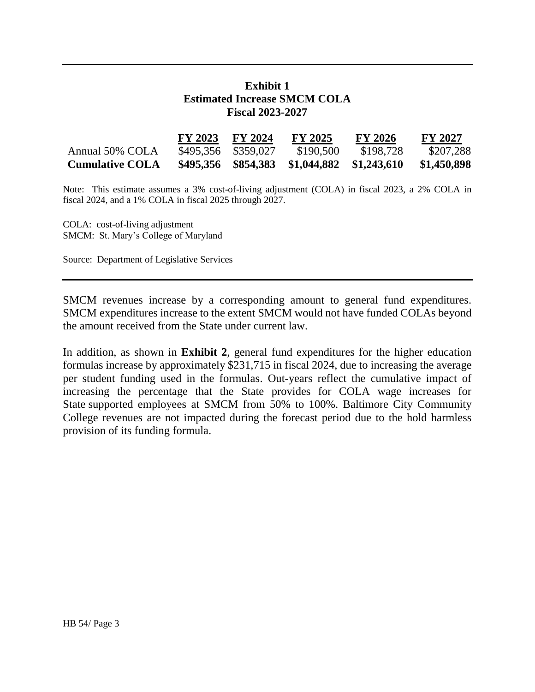## **Exhibit 1 Estimated Increase SMCM COLA Fiscal 2023-2027**

|                        | FY 2023 | <b>FY 2024</b>      | <b>FY 2025</b>          | <b>FY 2026</b> | FY 2027     |
|------------------------|---------|---------------------|-------------------------|----------------|-------------|
| Annual 50% COLA        |         | \$495,356 \$359,027 | \$190,500               | \$198,728      | \$207,288   |
| <b>Cumulative COLA</b> |         | \$495,356 \$854,383 | \$1,044,882 \$1,243,610 |                | \$1,450,898 |

Note: This estimate assumes a 3% cost-of-living adjustment (COLA) in fiscal 2023, a 2% COLA in fiscal 2024, and a 1% COLA in fiscal 2025 through 2027.

COLA: cost-of-living adjustment SMCM: St. Mary's College of Maryland

Source: Department of Legislative Services

SMCM revenues increase by a corresponding amount to general fund expenditures. SMCM expenditures increase to the extent SMCM would not have funded COLAs beyond the amount received from the State under current law.

In addition, as shown in **Exhibit 2**, general fund expenditures for the higher education formulas increase by approximately \$231,715 in fiscal 2024, due to increasing the average per student funding used in the formulas. Out-years reflect the cumulative impact of increasing the percentage that the State provides for COLA wage increases for State supported employees at SMCM from 50% to 100%. Baltimore City Community College revenues are not impacted during the forecast period due to the hold harmless provision of its funding formula.